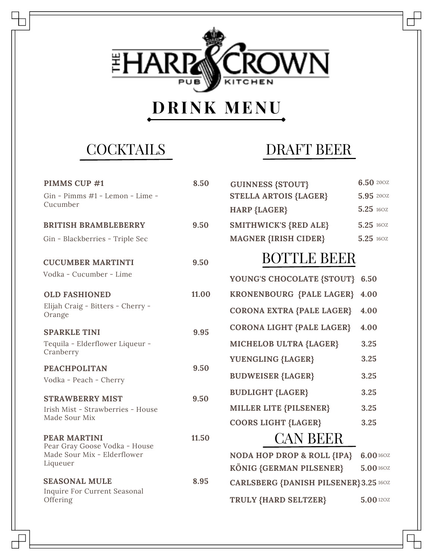

# **DRINK MENU**

**COCKTAILS** 

| PIMMS CUP #1                                | 8.50  |
|---------------------------------------------|-------|
| Gin - Pimms #1 - Lemon - Lime -<br>Cucumber |       |
|                                             |       |
| <b>BRITISH BRAMBLEBERRY</b>                 | 9.50  |
| Gin - Blackberries - Triple Sec             |       |
| <b>CUCUMBER MARTINTI</b>                    | 9.50  |
| Vodka - Cucumber - Lime                     |       |
|                                             |       |
| <b>OLD FASHIONED</b>                        | 11.00 |
| Elijah Craig - Bitters - Cherry -           |       |
| Orange                                      |       |
| <b>SPARKLE TINI</b>                         | 9.95  |
| Tequila - Elderflower Liqueur -             |       |
| Cranberry                                   |       |
| <b>PEACHPOLITAN</b>                         | 9.50  |
| Vodka - Peach - Cherry                      |       |
| <b>STRAWBERRY MIST</b>                      | 9.50  |
| Irish Mist - Strawberries - House           |       |
| Made Sour Mix                               |       |
| <b>PEAR MARTINI</b>                         | 11.50 |
| Pear Gray Goose Vodka - House               |       |
| Made Sour Mix - Elderflower<br>Liqueuer     |       |
|                                             |       |
| <b>SEASONAL MULE</b>                        | 8.95  |
| Inquire For Current Seasonal                |       |
| Offering                                    |       |

### DRAFT BEER

| <b>GUINNESS {STOUT}</b>          | 6.50 200Z            |
|----------------------------------|----------------------|
| <b>STELLA ARTOIS {LAGER}</b>     | 5.95 200Z            |
| <b>HARP {LAGER}</b>              | 5.25 160Z            |
| <b>SMITHWICK'S {RED ALE}</b>     | 5.25 160Z            |
| <b>MAGNER {IRISH CIDER}</b>      | 5.25 160Z            |
| <b>BOTTLE BEER</b>               |                      |
| YOUNG'S CHOCOLATE {STOUT} 6.50   |                      |
| KRONENBOURG {PALE LAGER}         | 4.00                 |
| <b>CORONA EXTRA {PALE LAGER}</b> | 4.00                 |
| CORONA LIGHT {PALE LAGER}        | 4.00                 |
| MICHELOB ULTRA {LAGER}           | 3.25                 |
| YUENGLING {LAGER}                | 3.25                 |
| BIIDILIMIAMD (I LAMB)            | $\sim$ $\sim$ $\sim$ |

| <b>BUDWEISER {LAGER}</b>   | 3.25 |
|----------------------------|------|
| <b>BUDLIGHT {LAGER}</b>    | 3.25 |
| MILLER LITE {PILSENER}     | 3.25 |
| <b>COORS LIGHT {LAGER}</b> | 3.25 |
| <b>CAN BEER</b>            |      |

#### **NODA HOP DROP & ROLL {IPA} 6.00** 16OZ **KÖNIG {GERMAN PILSENER} CARLSBERG {DANISH PILSENER} 3.25** 16OZ **TRULY {HARD SELTZER} 5.00** 16OZ **5.00** 12OZ